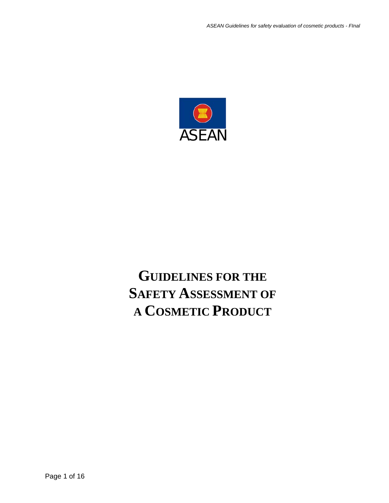

# **GUIDELINES FOR THE SAFETY ASSESSMENT OF A COSMETIC PRODUCT**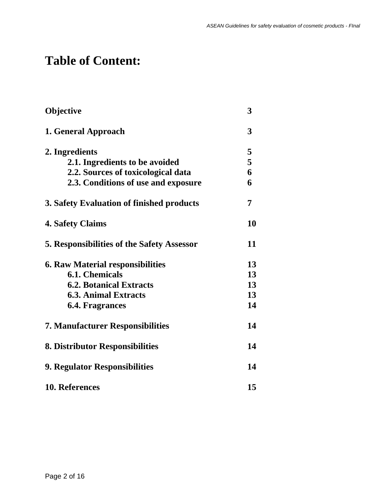## **Table of Content:**

| Objective                                         | 3  |
|---------------------------------------------------|----|
| 1. General Approach                               | 3  |
| 2. Ingredients                                    | 5  |
| 2.1. Ingredients to be avoided                    | 5  |
| 2.2. Sources of toxicological data                | 6  |
| 2.3. Conditions of use and exposure               | 6  |
| 3. Safety Evaluation of finished products         | 7  |
| <b>4. Safety Claims</b>                           | 10 |
| <b>5. Responsibilities of the Safety Assessor</b> | 11 |
| <b>6. Raw Material responsibilities</b>           | 13 |
| <b>6.1. Chemicals</b>                             | 13 |
| <b>6.2. Botanical Extracts</b>                    | 13 |
| <b>6.3. Animal Extracts</b>                       | 13 |
| <b>6.4. Fragrances</b>                            | 14 |
| <b>7. Manufacturer Responsibilities</b>           | 14 |
| 8. Distributor Responsibilities                   | 14 |
| 9. Regulator Responsibilities                     | 14 |
| 10. References                                    | 15 |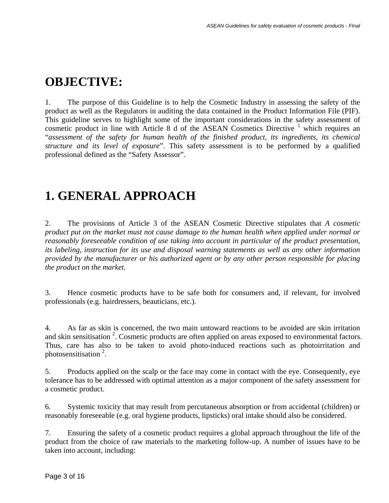### **OBJECTIVE:**

1. The purpose of this Guideline is to help the Cosmetic Industry in assessing the safety of the product as well as the Regulators in auditing the data contained in the Product Information File (PIF). This guideline serves to highlight some of the important considerations in the safety assessment of cosmetic product in line with Article 8 d of the ASEAN Cosmetics Directive  $1$  which requires an "*assessment of the safety for human health of the finished product, its ingredients, its chemical structure and its level of exposure*". This safety assessment is to be performed by a qualified professional defined as the "Safety Assessor".

### **1. GENERAL APPROACH**

2. The provisions of Article 3 of the ASEAN Cosmetic Directive stipulates that *A cosmetic product put on the market must not cause damage to the human health when applied under normal or reasonably foreseeable condition of use taking into account in particular of the product presentation, its labeling, instruction for its use and disposal warning statements as well as any other information provided by the manufacturer or his authorized agent or by any other person responsible for placing the product on the market.*

3. Hence cosmetic products have to be safe both for consumers and, if relevant, for involved professionals (e.g. hairdressers, beauticians, etc.).

4. As far as skin is concerned, the two main untoward reactions to be avoided are skin irritation and skin sensitisation  $2$ . Cosmetic products are often applied on areas exposed to environmental factors. Thus, care has also to be taken to avoid photo-induced reactions such as photoirritation and photosensitisation  $2$ .

5. Products applied on the scalp or the face may come in contact with the eye. Consequently, eye tolerance has to be addressed with optimal attention as a major component of the safety assessment for a cosmetic product.

6. Systemic toxicity that may result from percutaneous absorption or from accidental (children) or reasonably foreseeable (e.g. oral hygiene products, lipsticks) oral intake should also be considered.

7. Ensuring the safety of a cosmetic product requires a global approach throughout the life of the product from the choice of raw materials to the marketing follow-up. A number of issues have to be taken into account, including: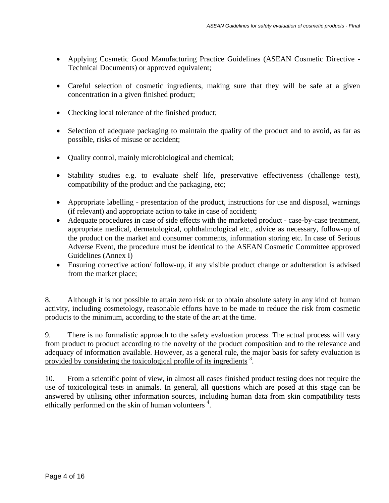- Applying Cosmetic Good Manufacturing Practice Guidelines (ASEAN Cosmetic Directive Technical Documents) or approved equivalent;
- Careful selection of cosmetic ingredients, making sure that they will be safe at a given concentration in a given finished product;
- Checking local tolerance of the finished product;
- Selection of adequate packaging to maintain the quality of the product and to avoid, as far as possible, risks of misuse or accident;
- Quality control, mainly microbiological and chemical;
- Stability studies e.g. to evaluate shelf life, preservative effectiveness (challenge test), compatibility of the product and the packaging, etc;
- Appropriate labelling presentation of the product, instructions for use and disposal, warnings (if relevant) and appropriate action to take in case of accident;
- Adequate procedures in case of side effects with the marketed product case-by-case treatment, appropriate medical, dermatological, ophthalmological etc., advice as necessary, follow-up of the product on the market and consumer comments, information storing etc. In case of Serious Adverse Event, the procedure must be identical to the ASEAN Cosmetic Committee approved Guidelines (Annex I)
- Ensuring corrective action/ follow-up, if any visible product change or adulteration is advised from the market place;

8. Although it is not possible to attain zero risk or to obtain absolute safety in any kind of human activity, including cosmetology, reasonable efforts have to be made to reduce the risk from cosmetic products to the minimum, according to the state of the art at the time.

9. There is no formalistic approach to the safety evaluation process. The actual process will vary from product to product according to the novelty of the product composition and to the relevance and adequacy of information available. However, as a general rule, the major basis for safety evaluation is provided by considering the toxicological profile of its ingredients<sup>3</sup>.

10. From a scientific point of view, in almost all cases finished product testing does not require the use of toxicological tests in animals. In general, all questions which are posed at this stage can be answered by utilising other information sources, including human data from skin compatibility tests ethically performed on the skin of human volunteers<sup>4</sup>.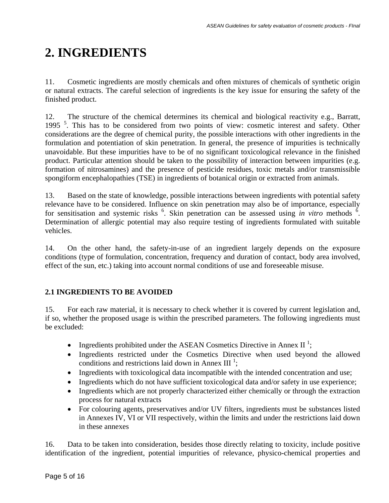# **2. INGREDIENTS**

11. Cosmetic ingredients are mostly chemicals and often mixtures of chemicals of synthetic origin or natural extracts. The careful selection of ingredients is the key issue for ensuring the safety of the finished product.

12. The structure of the chemical determines its chemical and biological reactivity e.g., Barratt, 1995<sup>5</sup>. This has to be considered from two points of view: cosmetic interest and safety. Other considerations are the degree of chemical purity, the possible interactions with other ingredients in the formulation and potentiation of skin penetration. In general, the presence of impurities is technically unavoidable. But these impurities have to be of no significant toxicological relevance in the finished product. Particular attention should be taken to the possibility of interaction between impurities (e.g. formation of nitrosamines) and the presence of pesticide residues, toxic metals and/or transmissible spongiform encephalopathies (TSE) in ingredients of botanical origin or extracted from animals.

13. Based on the state of knowledge, possible interactions between ingredients with potential safety relevance have to be considered. Influence on skin penetration may also be of importance, especially for sensitisation and systemic risks <sup>6</sup>. Skin penetration can be assessed using *in vitro* methods <sup>6</sup>. Determination of allergic potential may also require testing of ingredients formulated with suitable vehicles.

14. On the other hand, the safety-in-use of an ingredient largely depends on the exposure conditions (type of formulation, concentration, frequency and duration of contact, body area involved, effect of the sun, etc.) taking into account normal conditions of use and foreseeable misuse.

#### **2.1 INGREDIENTS TO BE AVOIDED**

15. For each raw material, it is necessary to check whether it is covered by current legislation and, if so, whether the proposed usage is within the prescribed parameters. The following ingredients must be excluded:

- Ingredients prohibited under the ASEAN Cosmetics Directive in Annex II<sup>1</sup>;
- Ingredients restricted under the Cosmetics Directive when used beyond the allowed conditions and restrictions laid down in Annex III<sup>1</sup>;
- Ingredients with toxicological data incompatible with the intended concentration and use;
- Ingredients which do not have sufficient toxicological data and/or safety in use experience;
- Ingredients which are not properly characterized either chemically or through the extraction process for natural extracts
- For colouring agents, preservatives and/or UV filters, ingredients must be substances listed in Annexes IV, VI or VII respectively, within the limits and under the restrictions laid down in these annexes

16. Data to be taken into consideration, besides those directly relating to toxicity, include positive identification of the ingredient, potential impurities of relevance, physico-chemical properties and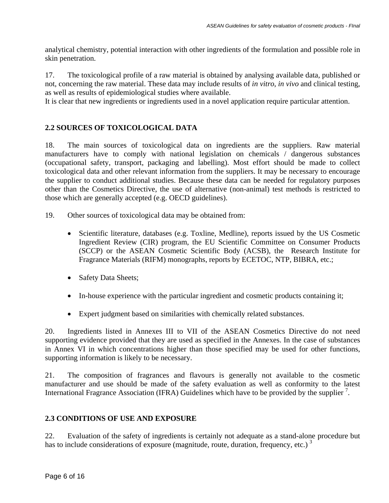analytical chemistry, potential interaction with other ingredients of the formulation and possible role in skin penetration.

17. The toxicological profile of a raw material is obtained by analysing available data, published or not, concerning the raw material. These data may include results of *in vitro*, *in vivo* and clinical testing, as well as results of epidemiological studies where available.

It is clear that new ingredients or ingredients used in a novel application require particular attention.

#### **2.2 SOURCES OF TOXICOLOGICAL DATA**

18. The main sources of toxicological data on ingredients are the suppliers. Raw material manufacturers have to comply with national legislation on chemicals / dangerous substances (occupational safety, transport, packaging and labelling). Most effort should be made to collect toxicological data and other relevant information from the suppliers. It may be necessary to encourage the supplier to conduct additional studies. Because these data can be needed for regulatory purposes other than the Cosmetics Directive, the use of alternative (non-animal) test methods is restricted to those which are generally accepted (e.g. OECD guidelines).

- 19. Other sources of toxicological data may be obtained from:
	- Scientific literature, databases (e.g. Toxline, Medline), reports issued by the US Cosmetic Ingredient Review (CIR) program, the EU Scientific Committee on Consumer Products (SCCP) or the ASEAN Cosmetic Scientific Body (ACSB), the Research Institute for Fragrance Materials (RIFM) monographs, reports by ECETOC, NTP, BIBRA, etc.;
	- Safety Data Sheets;
	- In-house experience with the particular ingredient and cosmetic products containing it;
	- Expert judgment based on similarities with chemically related substances.

20. Ingredients listed in Annexes III to VII of the ASEAN Cosmetics Directive do not need supporting evidence provided that they are used as specified in the Annexes. In the case of substances in Annex VI in which concentrations higher than those specified may be used for other functions, supporting information is likely to be necessary.

21. The composition of fragrances and flavours is generally not available to the cosmetic manufacturer and use should be made of the safety evaluation as well as conformity to the latest International Fragrance Association (IFRA) Guidelines which have to be provided by the supplier<sup>7</sup>.

#### **2.3 CONDITIONS OF USE AND EXPOSURE**

22. Evaluation of the safety of ingredients is certainly not adequate as a stand-alone procedure but has to include considerations of exposure (magnitude, route, duration, frequency, etc.)<sup>3</sup>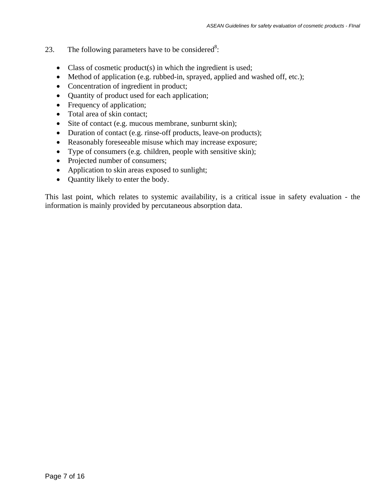- 23. The following parameters have to be considered<sup>8</sup>:
	- Class of cosmetic product(s) in which the ingredient is used;
	- Method of application (e.g. rubbed-in, sprayed, applied and washed off, etc.);
	- Concentration of ingredient in product;
	- Quantity of product used for each application;
	- Frequency of application;
	- Total area of skin contact;
	- Site of contact (e.g. mucous membrane, sunburnt skin);
	- Duration of contact (e.g. rinse-off products, leave-on products);
	- Reasonably foreseeable misuse which may increase exposure;
	- Type of consumers (e.g. children, people with sensitive skin);
	- Projected number of consumers;
	- Application to skin areas exposed to sunlight;
	- Quantity likely to enter the body.

This last point, which relates to systemic availability, is a critical issue in safety evaluation - the information is mainly provided by percutaneous absorption data.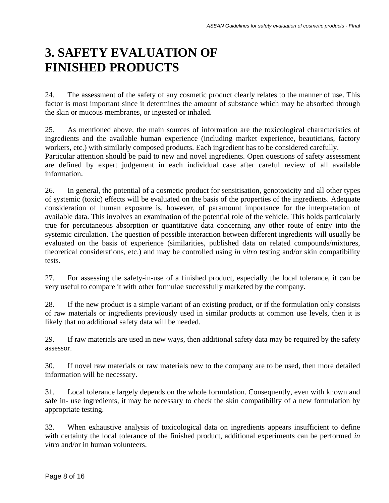### **3. SAFETY EVALUATION OF FINISHED PRODUCTS**

24. The assessment of the safety of any cosmetic product clearly relates to the manner of use. This factor is most important since it determines the amount of substance which may be absorbed through the skin or mucous membranes, or ingested or inhaled.

25. As mentioned above, the main sources of information are the toxicological characteristics of ingredients and the available human experience (including market experience, beauticians, factory workers, etc.) with similarly composed products. Each ingredient has to be considered carefully. Particular attention should be paid to new and novel ingredients. Open questions of safety assessment are defined by expert judgement in each individual case after careful review of all available information.

26. In general, the potential of a cosmetic product for sensitisation, genotoxicity and all other types of systemic (toxic) effects will be evaluated on the basis of the properties of the ingredients. Adequate consideration of human exposure is, however, of paramount importance for the interpretation of available data. This involves an examination of the potential role of the vehicle. This holds particularly true for percutaneous absorption or quantitative data concerning any other route of entry into the systemic circulation. The question of possible interaction between different ingredients will usually be evaluated on the basis of experience (similarities, published data on related compounds/mixtures, theoretical considerations, etc.) and may be controlled using *in vitro* testing and/or skin compatibility tests.

27. For assessing the safety-in-use of a finished product, especially the local tolerance, it can be very useful to compare it with other formulae successfully marketed by the company.

28. If the new product is a simple variant of an existing product, or if the formulation only consists of raw materials or ingredients previously used in similar products at common use levels, then it is likely that no additional safety data will be needed.

29. If raw materials are used in new ways, then additional safety data may be required by the safety assessor.

30. If novel raw materials or raw materials new to the company are to be used, then more detailed information will be necessary.

31. Local tolerance largely depends on the whole formulation. Consequently, even with known and safe in- use ingredients, it may be necessary to check the skin compatibility of a new formulation by appropriate testing.

32. When exhaustive analysis of toxicological data on ingredients appears insufficient to define with certainty the local tolerance of the finished product, additional experiments can be performed *in vitro* and/or in human volunteers.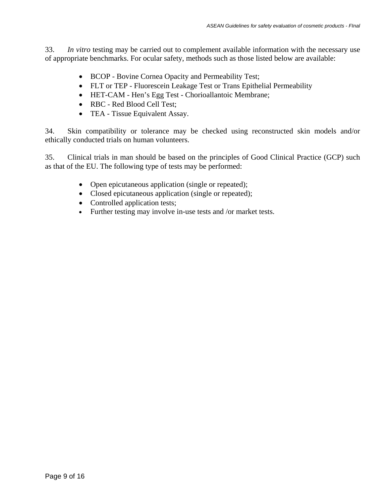33. *In vitro* testing may be carried out to complement available information with the necessary use of appropriate benchmarks. For ocular safety, methods such as those listed below are available:

- BCOP Bovine Cornea Opacity and Permeability Test;
- FLT or TEP Fluorescein Leakage Test or Trans Epithelial Permeability
- HET-CAM Hen's Egg Test Chorioallantoic Membrane;
- RBC Red Blood Cell Test;
- TEA Tissue Equivalent Assay.

34. Skin compatibility or tolerance may be checked using reconstructed skin models and/or ethically conducted trials on human volunteers.

35. Clinical trials in man should be based on the principles of Good Clinical Practice (GCP) such as that of the EU. The following type of tests may be performed:

- Open epicutaneous application (single or repeated);
- Closed epicutaneous application (single or repeated);
- Controlled application tests;
- Further testing may involve in-use tests and /or market tests.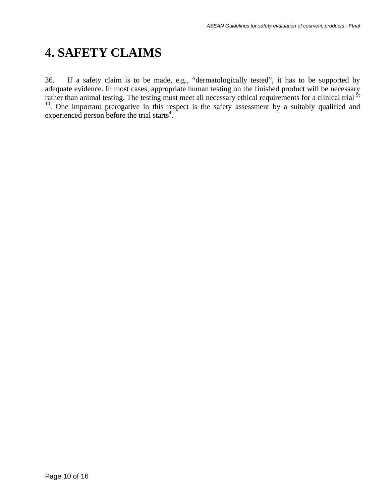# **4. SAFETY CLAIMS**

36. If a safety claim is to be made, e.g., "dermatologically tested", it has to be supported by adequate evidence. In most cases, appropriate human testing on the finished product will be necessary rather than animal testing. The testing must meet all necessary ethical requirements for a clinical trial <sup>9;</sup> <sup>10</sup>. One important prerogative in this respect is the safety assessment by a suitably qualified and experienced person before the trial starts $4$ .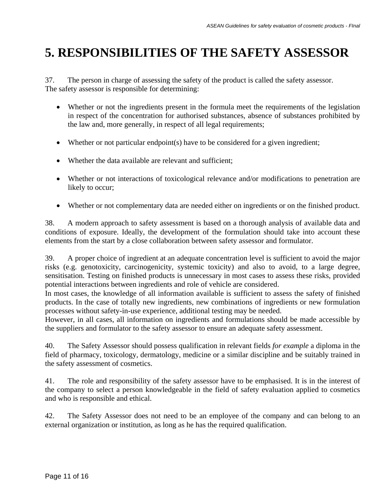## **5. RESPONSIBILITIES OF THE SAFETY ASSESSOR**

37. The person in charge of assessing the safety of the product is called the safety assessor. The safety assessor is responsible for determining:

- Whether or not the ingredients present in the formula meet the requirements of the legislation in respect of the concentration for authorised substances, absence of substances prohibited by the law and, more generally, in respect of all legal requirements;
- Whether or not particular endpoint(s) have to be considered for a given ingredient;
- Whether the data available are relevant and sufficient;
- Whether or not interactions of toxicological relevance and/or modifications to penetration are likely to occur;
- Whether or not complementary data are needed either on ingredients or on the finished product.

38. A modern approach to safety assessment is based on a thorough analysis of available data and conditions of exposure. Ideally, the development of the formulation should take into account these elements from the start by a close collaboration between safety assessor and formulator.

39. A proper choice of ingredient at an adequate concentration level is sufficient to avoid the major risks (e.g. genotoxicity, carcinogenicity, systemic toxicity) and also to avoid, to a large degree, sensitisation. Testing on finished products is unnecessary in most cases to assess these risks, provided potential interactions between ingredients and role of vehicle are considered.

In most cases, the knowledge of all information available is sufficient to assess the safety of finished products. In the case of totally new ingredients, new combinations of ingredients or new formulation processes without safety-in-use experience, additional testing may be needed.

However, in all cases, all information on ingredients and formulations should be made accessible by the suppliers and formulator to the safety assessor to ensure an adequate safety assessment.

40. The Safety Assessor should possess qualification in relevant fields *for example* a diploma in the field of pharmacy, toxicology, dermatology, medicine or a similar discipline and be suitably trained in the safety assessment of cosmetics.

41. The role and responsibility of the safety assessor have to be emphasised. It is in the interest of the company to select a person knowledgeable in the field of safety evaluation applied to cosmetics and who is responsible and ethical.

42. The Safety Assessor does not need to be an employee of the company and can belong to an external organization or institution, as long as he has the required qualification.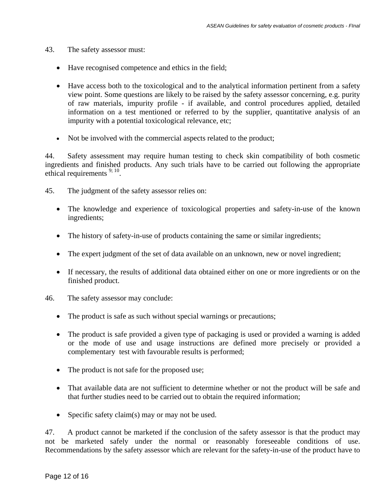- 43. The safety assessor must:
	- Have recognised competence and ethics in the field;
	- Have access both to the toxicological and to the analytical information pertinent from a safety view point. Some questions are likely to be raised by the safety assessor concerning, e.g. purity of raw materials, impurity profile - if available, and control procedures applied, detailed information on a test mentioned or referred to by the supplier, quantitative analysis of an impurity with a potential toxicological relevance, etc;
	- Not be involved with the commercial aspects related to the product;

44. Safety assessment may require human testing to check skin compatibility of both cosmetic ingredients and finished products. Any such trials have to be carried out following the appropriate ethical requirements <sup>9; 10</sup>.

- 45. The judgment of the safety assessor relies on:
	- The knowledge and experience of toxicological properties and safety-in-use of the known ingredients;
	- The history of safety-in-use of products containing the same or similar ingredients;
	- The expert judgment of the set of data available on an unknown, new or novel ingredient;
	- If necessary, the results of additional data obtained either on one or more ingredients or on the finished product.
- 46. The safety assessor may conclude:
	- The product is safe as such without special warnings or precautions;
	- The product is safe provided a given type of packaging is used or provided a warning is added or the mode of use and usage instructions are defined more precisely or provided a complementary test with favourable results is performed;
	- The product is not safe for the proposed use;
	- That available data are not sufficient to determine whether or not the product will be safe and that further studies need to be carried out to obtain the required information;
	- Specific safety claim(s) may or may not be used.

47. A product cannot be marketed if the conclusion of the safety assessor is that the product may not be marketed safely under the normal or reasonably foreseeable conditions of use. Recommendations by the safety assessor which are relevant for the safety-in-use of the product have to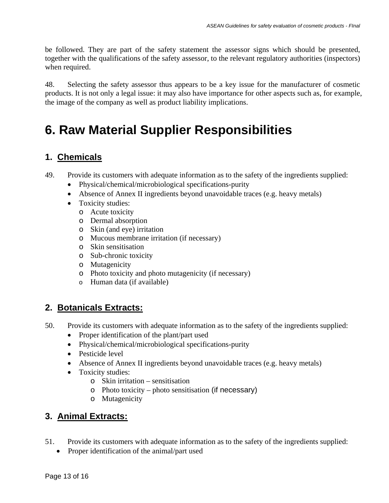be followed. They are part of the safety statement the assessor signs which should be presented, together with the qualifications of the safety assessor, to the relevant regulatory authorities (inspectors) when required.

48. Selecting the safety assessor thus appears to be a key issue for the manufacturer of cosmetic products. It is not only a legal issue: it may also have importance for other aspects such as, for example, the image of the company as well as product liability implications.

## **6. Raw Material Supplier Responsibilities**

#### **1. Chemicals**

- 49. Provide its customers with adequate information as to the safety of the ingredients supplied:
	- Physical/chemical/microbiological specifications-purity
	- Absence of Annex II ingredients beyond unavoidable traces (e.g. heavy metals)
	- Toxicity studies:
		- o Acute toxicity
		- o Dermal absorption
		- o Skin (and eye) irritation
		- o Mucous membrane irritation (if necessary)
		- o Skin sensitisation
		- o Sub-chronic toxicity
		- o Mutagenicity
		- o Photo toxicity and photo mutagenicity (if necessary)
		- o Human data (if available)

#### **2. Botanicals Extracts:**

- 50. Provide its customers with adequate information as to the safety of the ingredients supplied:
	- Proper identification of the plant/part used
	- Physical/chemical/microbiological specifications-purity
	- Pesticide level
	- Absence of Annex II ingredients beyond unavoidable traces (e.g. heavy metals)
	- Toxicity studies:
		- o Skin irritation sensitisation
		- o Photo toxicity photo sensitisation (if necessary)
		- o Mutagenicity

#### **3. Animal Extracts:**

- 51. Provide its customers with adequate information as to the safety of the ingredients supplied:
	- Proper identification of the animal/part used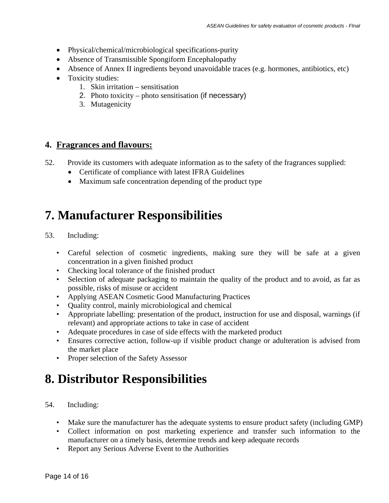- Physical/chemical/microbiological specifications-purity
- Absence of Transmissible Spongiform Encephalopathy
- Absence of Annex II ingredients beyond unavoidable traces (e.g. hormones, antibiotics, etc)
- Toxicity studies:
	- 1. Skin irritation sensitisation
	- 2. Photo toxicity photo sensitisation (if necessary)
	- 3. Mutagenicity

#### **4. Fragrances and flavours:**

- 52. Provide its customers with adequate information as to the safety of the fragrances supplied:
	- Certificate of compliance with latest IFRA Guidelines
	- Maximum safe concentration depending of the product type

#### **7. Manufacturer Responsibilities**

- 53. Including:
	- Careful selection of cosmetic ingredients, making sure they will be safe at a given concentration in a given finished product
	- Checking local tolerance of the finished product
	- Selection of adequate packaging to maintain the quality of the product and to avoid, as far as possible, risks of misuse or accident
	- Applying ASEAN Cosmetic Good Manufacturing Practices
	- Quality control, mainly microbiological and chemical
	- Appropriate labelling: presentation of the product, instruction for use and disposal, warnings (if relevant) and appropriate actions to take in case of accident
	- Adequate procedures in case of side effects with the marketed product
	- Ensures corrective action, follow-up if visible product change or adulteration is advised from the market place
	- Proper selection of the Safety Assessor

### **8. Distributor Responsibilities**

- 54. Including:
	- Make sure the manufacturer has the adequate systems to ensure product safety (including GMP)
	- Collect information on post marketing experience and transfer such information to the manufacturer on a timely basis, determine trends and keep adequate records
	- Report any Serious Adverse Event to the Authorities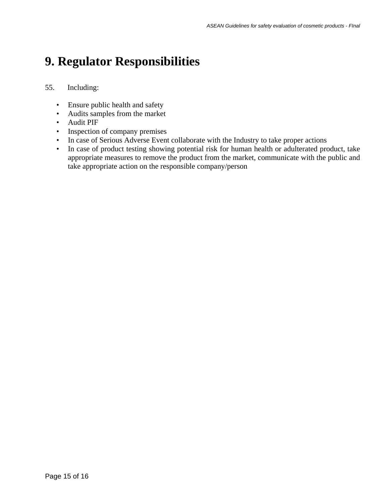### **9. Regulator Responsibilities**

#### 55. Including:

- Ensure public health and safety
- Audits samples from the market
- Audit PIF
- Inspection of company premises
- In case of Serious Adverse Event collaborate with the Industry to take proper actions
- In case of product testing showing potential risk for human health or adulterated product, take appropriate measures to remove the product from the market, communicate with the public and take appropriate action on the responsible company/person